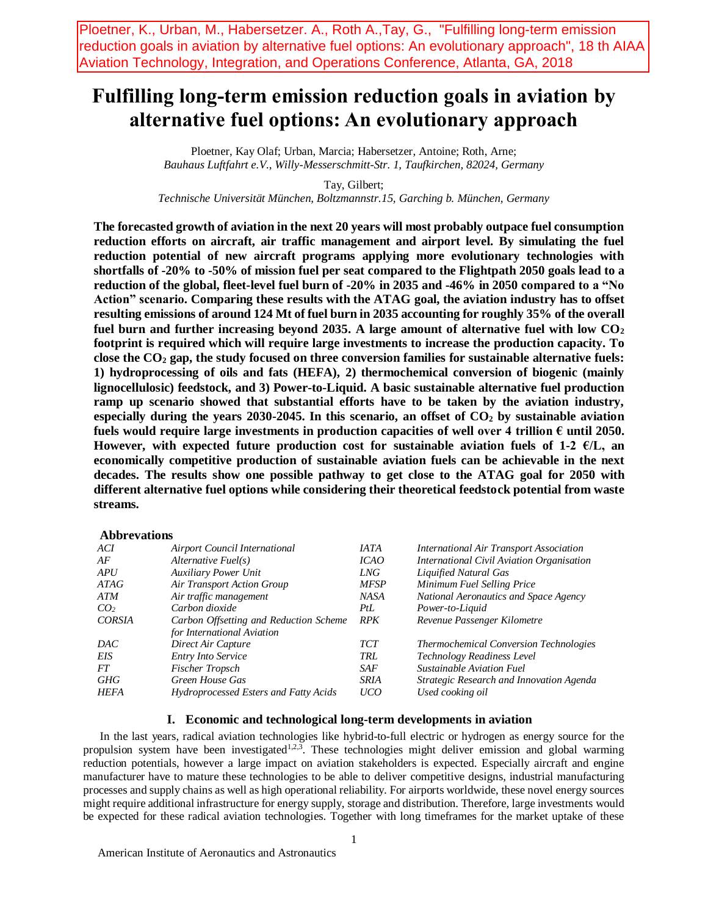Ploetner, K., Urban, M., Habersetzer. A., Roth A.,Tay, G., "Fulfilling long-term emission reduction goals in aviation by alternative fuel options: An evolutionary approach", 18 th AIAA Aviation Technology, Integration, and Operations Conference, Atlanta, GA, 2018

# **Fulfilling long-term emission reduction goals in aviation by alternative fuel options: An evolutionary approach**

Ploetner, Kay Olaf; Urban, Marcia; Habersetzer, Antoine; Roth, Arne; *Bauhaus Luftfahrt e.V., Willy-Messerschmitt-Str. 1, Taufkirchen, 82024, Germany*

Tay, Gilbert;

*Technische Universität München, Boltzmannstr.15, Garching b. München, Germany*

**The forecasted growth of aviation in the next 20 years will most probably outpace fuel consumption reduction efforts on aircraft, air traffic management and airport level. By simulating the fuel reduction potential of new aircraft programs applying more evolutionary technologies with shortfalls of -20% to -50% of mission fuel per seat compared to the Flightpath 2050 goals lead to a reduction of the global, fleet-level fuel burn of -20% in 2035 and -46% in 2050 compared to a "No Action" scenario. Comparing these results with the ATAG goal, the aviation industry has to offset resulting emissions of around 124 Mt of fuel burn in 2035 accounting for roughly 35% of the overall fuel burn and further increasing beyond 2035. A large amount of alternative fuel with low CO<sup>2</sup> footprint is required which will require large investments to increase the production capacity. To close the CO<sup>2</sup> gap, the study focused on three conversion families for sustainable alternative fuels: 1) hydroprocessing of oils and fats (HEFA), 2) thermochemical conversion of biogenic (mainly lignocellulosic) feedstock, and 3) Power-to-Liquid. A basic sustainable alternative fuel production ramp up scenario showed that substantial efforts have to be taken by the aviation industry, especially during the years 2030-2045. In this scenario, an offset of CO<sup>2</sup> by sustainable aviation fuels would require large investments in production capacities of well over 4 trillion € until 2050. However, with expected future production cost for sustainable aviation fuels of 1-2 €/L, an economically competitive production of sustainable aviation fuels can be achievable in the next decades. The results show one possible pathway to get close to the ATAG goal for 2050 with different alternative fuel options while considering their theoretical feedstock potential from waste streams.**

#### **Abbrevations**

| ACI             | Airport Council International          | <b>IATA</b> | <b>International Air Transport Association</b> |
|-----------------|----------------------------------------|-------------|------------------------------------------------|
| AF              | Alternative $Fuel(s)$                  | ICAO        | International Civil Aviation Organisation      |
| APU             | <b>Auxiliary Power Unit</b>            | LNG         | Liquified Natural Gas                          |
| ATAG            | <b>Air Transport Action Group</b>      | <b>MFSP</b> | Minimum Fuel Selling Price                     |
| ATM             | Air traffic management                 | <b>NASA</b> | National Aeronautics and Space Agency          |
| CO <sub>2</sub> | Carbon dioxide                         | PtL         | Power-to-Liquid                                |
| <b>CORSIA</b>   | Carbon Offsetting and Reduction Scheme | <b>RPK</b>  | Revenue Passenger Kilometre                    |
|                 | for International Aviation             |             |                                                |
| DAC             | Direct Air Capture                     | <b>TCT</b>  | <b>Thermochemical Conversion Technologies</b>  |
| EIS             | <b>Entry Into Service</b>              | TRL         | Technology Readiness Level                     |
| FT              | <b>Fischer Tropsch</b>                 | <b>SAF</b>  | <b>Sustainable Aviation Fuel</b>               |
| GHG             | Green House Gas                        | <b>SRIA</b> | Strategic Research and Innovation Agenda       |
| HEFA            | Hydroprocessed Esters and Fatty Acids  | UCO         | Used cooking oil                               |

# **I. Economic and technological long-term developments in aviation**

In the last years, radical aviation technologies like hybrid-to-full electric or hydrogen as energy source for the propulsion system have been investigated<sup>1,2,3</sup>. These technologies might deliver emission and global warming reduction potentials, however a large impact on aviation stakeholders is expected. Especially aircraft and engine manufacturer have to mature these technologies to be able to deliver competitive designs, industrial manufacturing processes and supply chains as well as high operational reliability. For airports worldwide, these novel energy sources might require additional infrastructure for energy supply, storage and distribution. Therefore, large investments would be expected for these radical aviation technologies. Together with long timeframes for the market uptake of these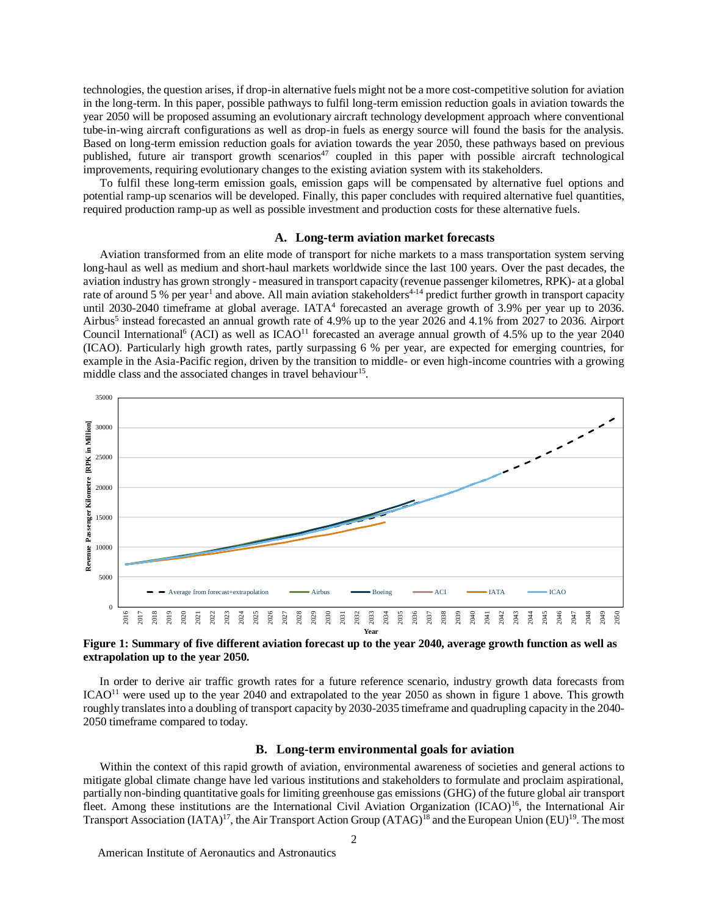technologies, the question arises, if drop-in alternative fuels might not be a more cost-competitive solution for aviation in the long-term. In this paper, possible pathways to fulfil long-term emission reduction goals in aviation towards the year 2050 will be proposed assuming an evolutionary aircraft technology development approach where conventional tube-in-wing aircraft configurations as well as drop-in fuels as energy source will found the basis for the analysis. Based on long-term emission reduction goals for aviation towards the year 2050, these pathways based on previous published, future air transport growth scenarios<sup>47</sup> coupled in this paper with possible aircraft technological improvements, requiring evolutionary changes to the existing aviation system with its stakeholders.

To fulfil these long-term emission goals, emission gaps will be compensated by alternative fuel options and potential ramp-up scenarios will be developed. Finally, this paper concludes with required alternative fuel quantities, required production ramp-up as well as possible investment and production costs for these alternative fuels.

#### **A. Long-term aviation market forecasts**

Aviation transformed from an elite mode of transport for niche markets to a mass transportation system serving long-haul as well as medium and short-haul markets worldwide since the last 100 years. Over the past decades, the aviation industry has grown strongly - measured in transport capacity (revenue passenger kilometres, RPK)- at a global rate of around 5 % per year<sup>1</sup> and above. All main aviation stakeholders<sup>4-14</sup> predict further growth in transport capacity until 2030-2040 timeframe at global average. IATA<sup>4</sup> forecasted an average growth of 3.9% per year up to 2036. Airbus<sup>5</sup> instead forecasted an annual growth rate of 4.9% up to the year 2026 and 4.1% from 2027 to 2036. Airport Council International<sup>6</sup> (ACI) as well as  $ICAO<sup>11</sup>$  forecasted an average annual growth of 4.5% up to the year 2040 (ICAO). Particularly high growth rates, partly surpassing 6 % per year, are expected for emerging countries, for example in the Asia-Pacific region, driven by the transition to middle- or even high-income countries with a growing middle class and the associated changes in travel behaviour<sup>15</sup>.



# **Figure 1: Summary of five different aviation forecast up to the year 2040, average growth function as well as extrapolation up to the year 2050.**

In order to derive air traffic growth rates for a future reference scenario, industry growth data forecasts from ICAO<sup>11</sup> were used up to the year 2040 and extrapolated to the year 2050 as shown in figure 1 above. This growth roughly translatesinto a doubling of transport capacity by 2030-2035 timeframe and quadrupling capacity in the 2040- 2050 timeframe compared to today.

# **B. Long-term environmental goals for aviation**

Within the context of this rapid growth of aviation, environmental awareness of societies and general actions to mitigate global climate change have led various institutions and stakeholders to formulate and proclaim aspirational, partially non-binding quantitative goals for limiting greenhouse gas emissions (GHG) of the future global air transport fleet. Among these institutions are the International Civil Aviation Organization (ICAO)<sup>16</sup>, the International Air Transport Association (IATA)<sup>17</sup>, the Air Transport Action Group (ATAG)<sup>18</sup> and the European Union (EU)<sup>19</sup>. The most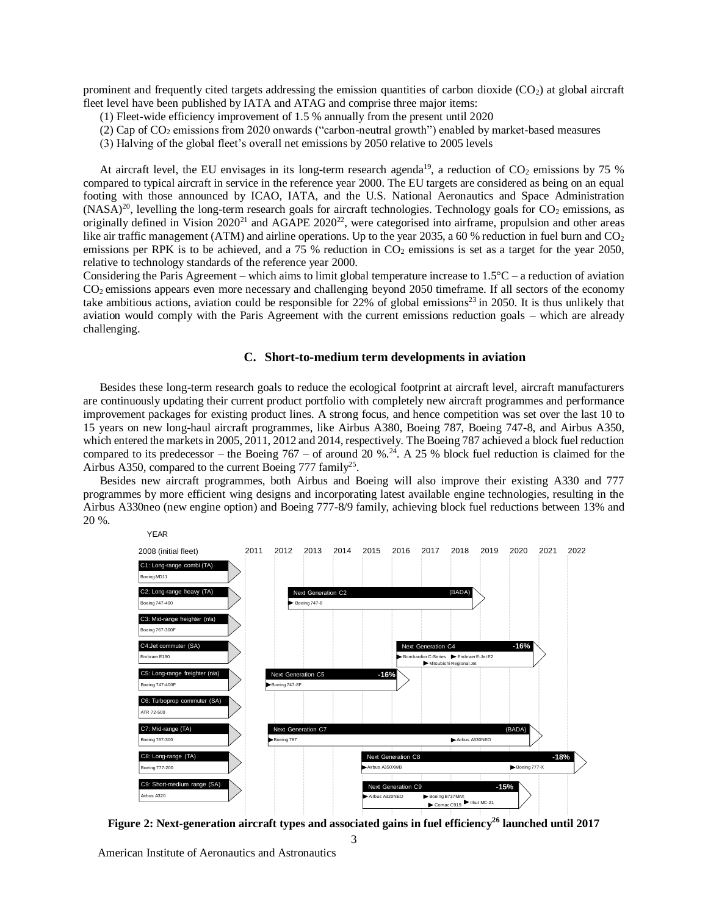prominent and frequently cited targets addressing the emission quantities of carbon dioxide  $(CO<sub>2</sub>)$  at global aircraft fleet level have been published by IATA and ATAG and comprise three major items:

- (1) Fleet-wide efficiency improvement of 1.5 % annually from the present until 2020
- (2) Cap of CO<sup>2</sup> emissions from 2020 onwards ("carbon-neutral growth") enabled by market-based measures
- (3) Halving of the global fleet's overall net emissions by 2050 relative to 2005 levels

At aircraft level, the EU envisages in its long-term research agenda<sup>19</sup>, a reduction of  $CO<sub>2</sub>$  emissions by 75 % compared to typical aircraft in service in the reference year 2000. The EU targets are considered as being on an equal footing with those announced by ICAO, IATA, and the U.S. National Aeronautics and Space Administration  $(NASA)^{20}$ , levelling the long-term research goals for aircraft technologies. Technology goals for  $CO_2$  emissions, as originally defined in Vision  $2020^{21}$  and AGAPE  $2020^{22}$ , were categorised into airframe, propulsion and other areas like air traffic management (ATM) and airline operations. Up to the year 2035, a 60 % reduction in fuel burn and  $CO<sub>2</sub>$ emissions per RPK is to be achieved, and a 75 % reduction in  $CO<sub>2</sub>$  emissions is set as a target for the year 2050, relative to technology standards of the reference year 2000.

Considering the Paris Agreement – which aims to limit global temperature increase to  $1.5^{\circ}C$  – a reduction of aviation CO2 emissions appears even more necessary and challenging beyond 2050 timeframe. If all sectors of the economy take ambitious actions, aviation could be responsible for  $22\%$  of global emissions<sup>23</sup> in 2050. It is thus unlikely that aviation would comply with the Paris Agreement with the current emissions reduction goals – which are already challenging.

## **C. Short-to-medium term developments in aviation**

Besides these long-term research goals to reduce the ecological footprint at aircraft level, aircraft manufacturers are continuously updating their current product portfolio with completely new aircraft programmes and performance improvement packages for existing product lines. A strong focus, and hence competition was set over the last 10 to 15 years on new long-haul aircraft programmes, like Airbus A380, Boeing 787, Boeing 747-8, and Airbus A350, which entered the markets in 2005, 2011, 2012 and 2014, respectively. The Boeing 787 achieved a block fuel reduction compared to its predecessor – the Boeing  $767$  – of around 20 %.<sup>24</sup>. A 25 % block fuel reduction is claimed for the Airbus A350, compared to the current Boeing 777 family<sup>25</sup>.

Besides new aircraft programmes, both Airbus and Boeing will also improve their existing A330 and 777 programmes by more efficient wing designs and incorporating latest available engine technologies, resulting in the Airbus A330neo (new engine option) and Boeing 777-8/9 family, achieving block fuel reductions between 13% and 20 %.



**Figure 2: Next-generation aircraft types and associated gains in fuel efficiency <sup>26</sup> launched until 2017**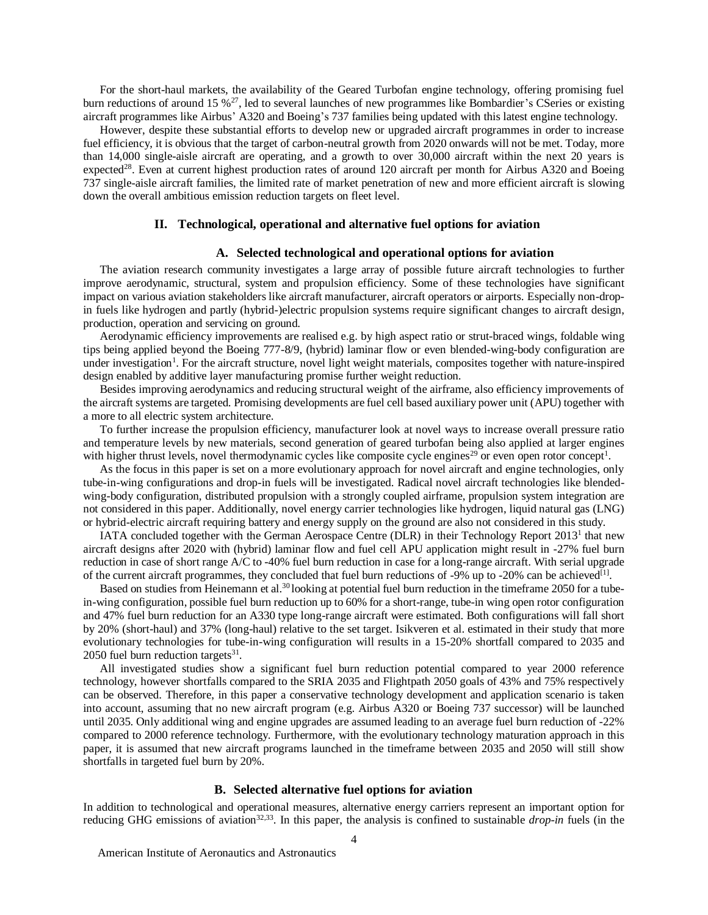For the short-haul markets, the availability of the Geared Turbofan engine technology, offering promising fuel burn reductions of around 15  $\frac{15}{27}$ , led to several launches of new programmes like Bombardier's CSeries or existing aircraft programmes like Airbus' A320 and Boeing's 737 families being updated with this latest engine technology.

However, despite these substantial efforts to develop new or upgraded aircraft programmes in order to increase fuel efficiency, it is obvious that the target of carbon-neutral growth from 2020 onwards will not be met. Today, more than 14,000 single-aisle aircraft are operating, and a growth to over 30,000 aircraft within the next 20 years is expected<sup>28</sup>. Even at current highest production rates of around 120 aircraft per month for Airbus A320 and Boeing 737 single-aisle aircraft families, the limited rate of market penetration of new and more efficient aircraft is slowing down the overall ambitious emission reduction targets on fleet level.

# **II. Technological, operational and alternative fuel options for aviation**

# **A. Selected technological and operational options for aviation**

The aviation research community investigates a large array of possible future aircraft technologies to further improve aerodynamic, structural, system and propulsion efficiency. Some of these technologies have significant impact on various aviation stakeholders like aircraft manufacturer, aircraft operators or airports. Especially non-dropin fuels like hydrogen and partly (hybrid-)electric propulsion systems require significant changes to aircraft design, production, operation and servicing on ground.

Aerodynamic efficiency improvements are realised e.g. by high aspect ratio or strut-braced wings, foldable wing tips being applied beyond the Boeing 777-8/9, (hybrid) laminar flow or even blended-wing-body configuration are under investigation<sup>1</sup>. For the aircraft structure, novel light weight materials, composites together with nature-inspired design enabled by additive layer manufacturing promise further weight reduction.

Besides improving aerodynamics and reducing structural weight of the airframe, also efficiency improvements of the aircraft systems are targeted. Promising developments are fuel cell based auxiliary power unit (APU) together with a more to all electric system architecture.

To further increase the propulsion efficiency, manufacturer look at novel ways to increase overall pressure ratio and temperature levels by new materials, second generation of geared turbofan being also applied at larger engines with higher thrust levels, novel thermodynamic cycles like composite cycle engines<sup>29</sup> or even open rotor concept<sup>1</sup>.

As the focus in this paper is set on a more evolutionary approach for novel aircraft and engine technologies, only tube-in-wing configurations and drop-in fuels will be investigated. Radical novel aircraft technologies like blendedwing-body configuration, distributed propulsion with a strongly coupled airframe, propulsion system integration are not considered in this paper. Additionally, novel energy carrier technologies like hydrogen, liquid natural gas (LNG) or hybrid-electric aircraft requiring battery and energy supply on the ground are also not considered in this study.

IATA concluded together with the German Aerospace Centre (DLR) in their Technology Report 2013<sup>1</sup> that new aircraft designs after 2020 with (hybrid) laminar flow and fuel cell APU application might result in -27% fuel burn reduction in case of short range A/C to -40% fuel burn reduction in case for a long-range aircraft. With serial upgrade of the current aircraft programmes, they concluded that fuel burn reductions of -9% up to -20% can be achieved<sup>[1]</sup>.

Based on studies from Heinemann et al.<sup>30</sup> looking at potential fuel burn reduction in the timeframe 2050 for a tubein-wing configuration, possible fuel burn reduction up to 60% for a short-range, tube-in wing open rotor configuration and 47% fuel burn reduction for an A330 type long-range aircraft were estimated. Both configurations will fall short by 20% (short-haul) and 37% (long-haul) relative to the set target. Isikveren et al. estimated in their study that more evolutionary technologies for tube-in-wing configuration will results in a 15-20% shortfall compared to 2035 and 2050 fuel burn reduction targets $^{31}$ .

All investigated studies show a significant fuel burn reduction potential compared to year 2000 reference technology, however shortfalls compared to the SRIA 2035 and Flightpath 2050 goals of 43% and 75% respectively can be observed. Therefore, in this paper a conservative technology development and application scenario is taken into account, assuming that no new aircraft program (e.g. Airbus A320 or Boeing 737 successor) will be launched until 2035. Only additional wing and engine upgrades are assumed leading to an average fuel burn reduction of -22% compared to 2000 reference technology. Furthermore, with the evolutionary technology maturation approach in this paper, it is assumed that new aircraft programs launched in the timeframe between 2035 and 2050 will still show shortfalls in targeted fuel burn by 20%.

#### **B. Selected alternative fuel options for aviation**

In addition to technological and operational measures, alternative energy carriers represent an important option for reducing GHG emissions of aviation<sup>32,33</sup>. In this paper, the analysis is confined to sustainable *drop-in* fuels (in the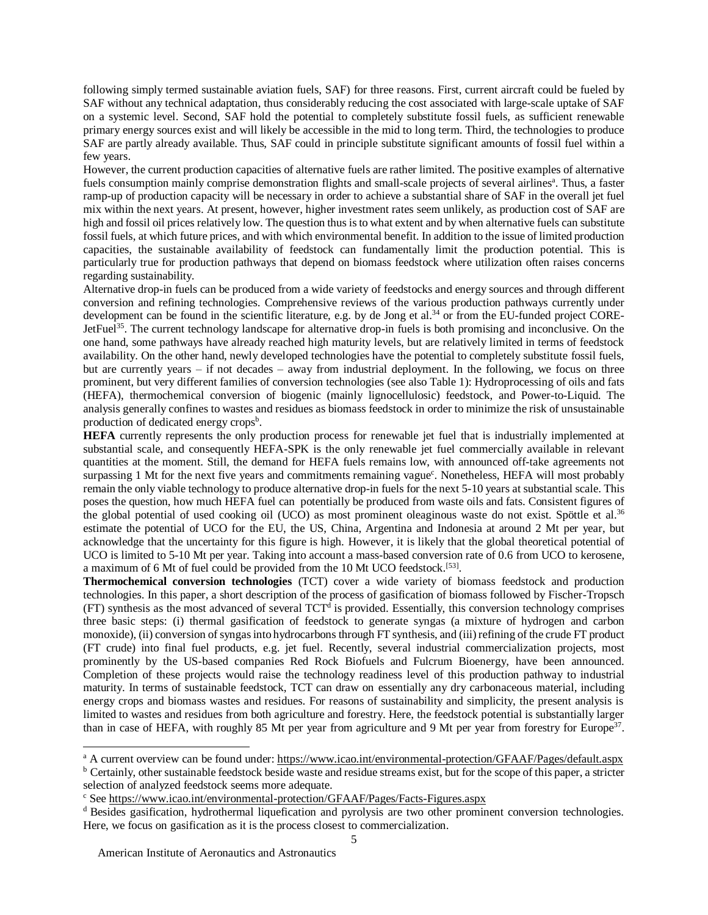following simply termed sustainable aviation fuels, SAF) for three reasons. First, current aircraft could be fueled by SAF without any technical adaptation, thus considerably reducing the cost associated with large-scale uptake of SAF on a systemic level. Second, SAF hold the potential to completely substitute fossil fuels, as sufficient renewable primary energy sources exist and will likely be accessible in the mid to long term. Third, the technologies to produce SAF are partly already available. Thus, SAF could in principle substitute significant amounts of fossil fuel within a few years.

However, the current production capacities of alternative fuels are rather limited. The positive examples of alternative fuels consumption mainly comprise demonstration flights and small-scale projects of several airlines<sup>a</sup>. Thus, a faster ramp-up of production capacity will be necessary in order to achieve a substantial share of SAF in the overall jet fuel mix within the next years. At present, however, higher investment rates seem unlikely, as production cost of SAF are high and fossil oil prices relatively low. The question thus is to what extent and by when alternative fuels can substitute fossil fuels, at which future prices, and with which environmental benefit. In addition to the issue of limited production capacities, the sustainable availability of feedstock can fundamentally limit the production potential. This is particularly true for production pathways that depend on biomass feedstock where utilization often raises concerns regarding sustainability.

Alternative drop-in fuels can be produced from a wide variety of feedstocks and energy sources and through different conversion and refining technologies. Comprehensive reviews of the various production pathways currently under development can be found in the scientific literature, e.g. by de Jong et al.<sup>34</sup> or from the EU-funded project CORE-JetFuel<sup>35</sup>. The current technology landscape for alternative drop-in fuels is both promising and inconclusive. On the one hand, some pathways have already reached high maturity levels, but are relatively limited in terms of feedstock availability. On the other hand, newly developed technologies have the potential to completely substitute fossil fuels, but are currently years – if not decades – away from industrial deployment. In the following, we focus on three prominent, but very different families of conversion technologies (see also Table 1): Hydroprocessing of oils and fats (HEFA), thermochemical conversion of biogenic (mainly lignocellulosic) feedstock, and Power-to-Liquid. The analysis generally confines to wastes and residues as biomass feedstock in order to minimize the risk of unsustainable production of dedicated energy crops<sup>b</sup>.

**HEFA** currently represents the only production process for renewable jet fuel that is industrially implemented at substantial scale, and consequently HEFA-SPK is the only renewable jet fuel commercially available in relevant quantities at the moment. Still, the demand for HEFA fuels remains low, with announced off-take agreements not surpassing 1 Mt for the next five years and commitments remaining vague<sup>c</sup>. Nonetheless, HEFA will most probably remain the only viable technology to produce alternative drop-in fuels for the next 5-10 years at substantial scale. This poses the question, how much HEFA fuel can potentially be produced from waste oils and fats. Consistent figures of the global potential of used cooking oil (UCO) as most prominent oleaginous waste do not exist. Spöttle et al.<sup>36</sup> estimate the potential of UCO for the EU, the US, China, Argentina and Indonesia at around 2 Mt per year, but acknowledge that the uncertainty for this figure is high. However, it is likely that the global theoretical potential of UCO is limited to 5-10 Mt per year. Taking into account a mass-based conversion rate of 0.6 from UCO to kerosene, a maximum of 6 Mt of fuel could be provided from the 10 Mt UCO feedstock.<sup>[53]</sup>.

**Thermochemical conversion technologies** (TCT) cover a wide variety of biomass feedstock and production technologies. In this paper, a short description of the process of gasification of biomass followed by Fischer-Tropsch (FT) synthesis as the most advanced of several TCT<sup>d</sup> is provided. Essentially, this conversion technology comprises three basic steps: (i) thermal gasification of feedstock to generate syngas (a mixture of hydrogen and carbon monoxide), (ii) conversion of syngas into hydrocarbons through FT synthesis, and (iii) refining of the crude FT product (FT crude) into final fuel products, e.g. jet fuel. Recently, several industrial commercialization projects, most prominently by the US-based companies Red Rock Biofuels and Fulcrum Bioenergy, have been announced. Completion of these projects would raise the technology readiness level of this production pathway to industrial maturity. In terms of sustainable feedstock, TCT can draw on essentially any dry carbonaceous material, including energy crops and biomass wastes and residues. For reasons of sustainability and simplicity, the present analysis is limited to wastes and residues from both agriculture and forestry. Here, the feedstock potential is substantially larger than in case of HEFA, with roughly 85 Mt per year from agriculture and 9 Mt per year from forestry for Europe<sup>37</sup>.

 $\overline{a}$ 

<sup>&</sup>lt;sup>a</sup> A current overview can be found under:<https://www.icao.int/environmental-protection/GFAAF/Pages/default.aspx>

<sup>b</sup> Certainly, other sustainable feedstock beside waste and residue streams exist, but for the scope of this paper, a stricter selection of analyzed feedstock seems more adequate.

<sup>c</sup> See<https://www.icao.int/environmental-protection/GFAAF/Pages/Facts-Figures.aspx>

<sup>d</sup> Besides gasification, hydrothermal liquefication and pyrolysis are two other prominent conversion technologies. Here, we focus on gasification as it is the process closest to commercialization.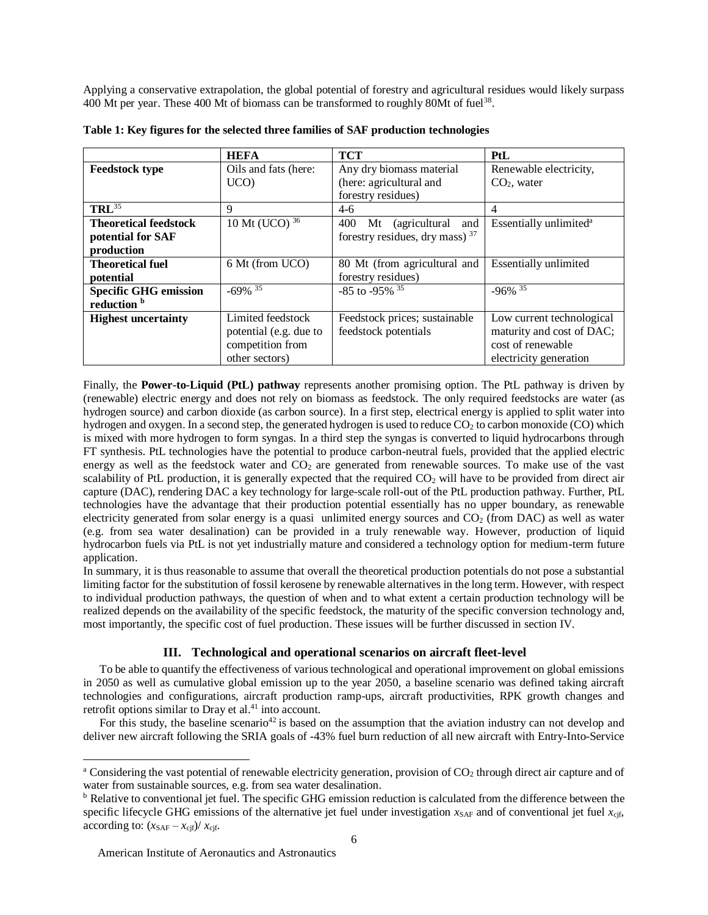Applying a conservative extrapolation, the global potential of forestry and agricultural residues would likely surpass 400 Mt per year. These 400 Mt of biomass can be transformed to roughly 80Mt of fuel<sup>38</sup>.

|                              | <b>HEFA</b>            | <b>TCT</b>                                 | <b>PtL</b>                         |
|------------------------------|------------------------|--------------------------------------------|------------------------------------|
| <b>Feedstock type</b>        | Oils and fats (here:   | Any dry biomass material                   | Renewable electricity,             |
|                              | $UCO$ )                | (here: agricultural and                    | $CO2$ , water                      |
|                              |                        | forestry residues)                         |                                    |
| $\mathbf{TRL}^{35}$          | 9                      | $4-6$                                      | 4                                  |
| <b>Theoretical feedstock</b> | 10 Mt (UCO) 36         | 400<br>(agricultural<br>Mt<br>and          | Essentially unlimited <sup>a</sup> |
| potential for SAF            |                        | forestry residues, dry mass) <sup>37</sup> |                                    |
| production                   |                        |                                            |                                    |
| <b>Theoretical fuel</b>      | 6 Mt (from UCO)        | 80 Mt (from agricultural and               | <b>Essentially unlimited</b>       |
| potential                    |                        | forestry residues)                         |                                    |
| <b>Specific GHG emission</b> | $-69\sqrt{35}$         | $-85$ to $-95\%$ 35                        | $-96\sqrt{35}$                     |
| reduction b                  |                        |                                            |                                    |
| <b>Highest uncertainty</b>   | Limited feedstock      | Feedstock prices; sustainable              | Low current technological          |
|                              | potential (e.g. due to | feedstock potentials                       | maturity and cost of DAC;          |
|                              | competition from       |                                            | cost of renewable                  |
|                              | other sectors)         |                                            | electricity generation             |

**Table 1: Key figures for the selected three families of SAF production technologies**

Finally, the **Power-to-Liquid (PtL) pathway** represents another promising option. The PtL pathway is driven by (renewable) electric energy and does not rely on biomass as feedstock. The only required feedstocks are water (as hydrogen source) and carbon dioxide (as carbon source). In a first step, electrical energy is applied to split water into hydrogen and oxygen. In a second step, the generated hydrogen is used to reduce CO<sub>2</sub> to carbon monoxide (CO) which is mixed with more hydrogen to form syngas. In a third step the syngas is converted to liquid hydrocarbons through FT synthesis. PtL technologies have the potential to produce carbon-neutral fuels, provided that the applied electric energy as well as the feedstock water and CO<sub>2</sub> are generated from renewable sources. To make use of the vast scalability of PtL production, it is generally expected that the required  $CO<sub>2</sub>$  will have to be provided from direct air capture (DAC), rendering DAC a key technology for large-scale roll-out of the PtL production pathway. Further, PtL technologies have the advantage that their production potential essentially has no upper boundary, as renewable electricity generated from solar energy is a quasi unlimited energy sources and CO<sub>2</sub> (from DAC) as well as water (e.g. from sea water desalination) can be provided in a truly renewable way. However, production of liquid hydrocarbon fuels via PtL is not yet industrially mature and considered a technology option for medium-term future application.

In summary, it is thus reasonable to assume that overall the theoretical production potentials do not pose a substantial limiting factor for the substitution of fossil kerosene by renewable alternatives in the long term. However, with respect to individual production pathways, the question of when and to what extent a certain production technology will be realized depends on the availability of the specific feedstock, the maturity of the specific conversion technology and, most importantly, the specific cost of fuel production. These issues will be further discussed in section IV.

# **III. Technological and operational scenarios on aircraft fleet-level**

To be able to quantify the effectiveness of various technological and operational improvement on global emissions in 2050 as well as cumulative global emission up to the year 2050, a baseline scenario was defined taking aircraft technologies and configurations, aircraft production ramp-ups, aircraft productivities, RPK growth changes and retrofit options similar to Dray et al.<sup>41</sup> into account.

For this study, the baseline scenario<sup>42</sup> is based on the assumption that the aviation industry can not develop and deliver new aircraft following the SRIA goals of -43% fuel burn reduction of all new aircraft with Entry-Into-Service

 $\overline{a}$ 

 $a$  Considering the vast potential of renewable electricity generation, provision of  $CO<sub>2</sub>$  through direct air capture and of water from sustainable sources, e.g. from sea water desalination.

 $\rm^b$  Relative to conventional jet fuel. The specific GHG emission reduction is calculated from the difference between the specific lifecycle GHG emissions of the alternative jet fuel under investigation  $x_{\text{SAF}}$  and of conventional jet fuel  $x_{\text{cif}}$ , according to:  $(x_{SAF} - x_{cif})/x_{cif}$ .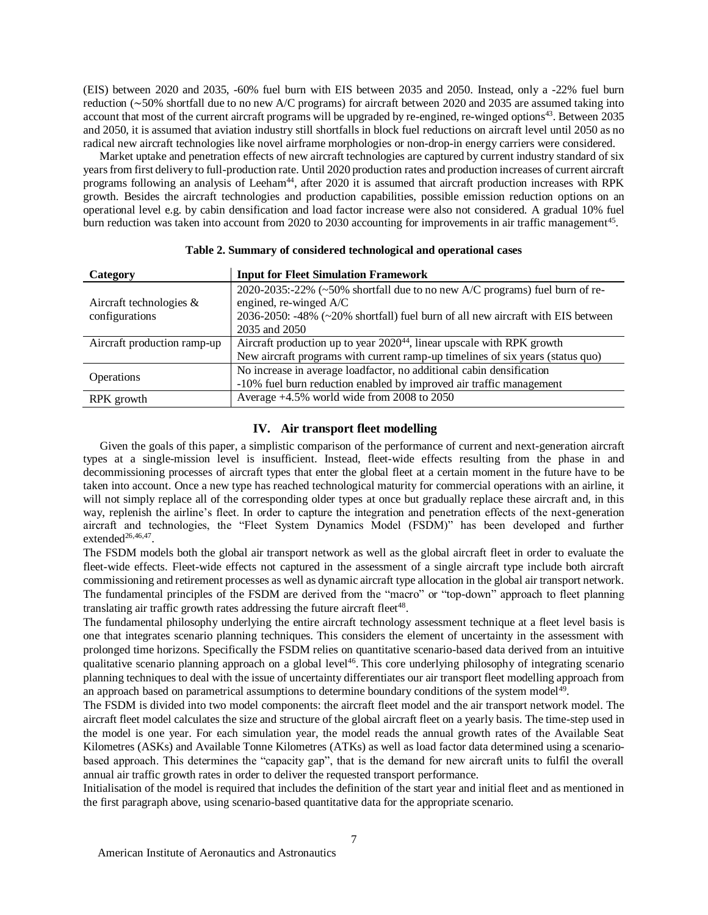(EIS) between 2020 and 2035, -60% fuel burn with EIS between 2035 and 2050. Instead, only a -22% fuel burn reduction ( $\sim$ 50% shortfall due to no new A/C programs) for aircraft between 2020 and 2035 are assumed taking into account that most of the current aircraft programs will be upgraded by re-engined, re-winged options<sup>43</sup>. Between 2035 and 2050, it is assumed that aviation industry still shortfalls in block fuel reductions on aircraft level until 2050 as no radical new aircraft technologies like novel airframe morphologies or non-drop-in energy carriers were considered.

Market uptake and penetration effects of new aircraft technologies are captured by current industry standard of six years from first delivery to full-production rate. Until 2020 production rates and production increases of current aircraft programs following an analysis of Leeham<sup>44</sup>, after 2020 it is assumed that aircraft production increases with RPK growth. Besides the aircraft technologies and production capabilities, possible emission reduction options on an operational level e.g. by cabin densification and load factor increase were also not considered. A gradual 10% fuel burn reduction was taken into account from 2020 to 2030 accounting for improvements in air traffic management<sup>45</sup>.

| Category                    | <b>Input for Fleet Simulation Framework</b>                                                                                                 |
|-----------------------------|---------------------------------------------------------------------------------------------------------------------------------------------|
| Aircraft technologies $\&$  | 2020-2035:-22% (~50% shortfall due to no new A/C programs) fuel burn of re-<br>engined, re-winged A/C                                       |
| configurations              | 2036-2050: -48% (~20% shortfall) fuel burn of all new aircraft with EIS between<br>2035 and 2050                                            |
| Aircraft production ramp-up | Aircraft production up to year 2020 <sup>44</sup> , linear upscale with RPK growth                                                          |
|                             | New aircraft programs with current ramp-up timelines of six years (status quo)                                                              |
| Operations                  | No increase in average loadfactor, no additional cabin densification<br>-10% fuel burn reduction enabled by improved air traffic management |
| RPK growth                  | Average +4.5% world wide from 2008 to 2050                                                                                                  |

#### **Table 2. Summary of considered technological and operational cases**

# **IV. Air transport fleet modelling**

Given the goals of this paper, a simplistic comparison of the performance of current and next-generation aircraft types at a single-mission level is insufficient. Instead, fleet-wide effects resulting from the phase in and decommissioning processes of aircraft types that enter the global fleet at a certain moment in the future have to be taken into account. Once a new type has reached technological maturity for commercial operations with an airline, it will not simply replace all of the corresponding older types at once but gradually replace these aircraft and, in this way, replenish the airline's fleet. In order to capture the integration and penetration effects of the next-generation aircraft and technologies, the "Fleet System Dynamics Model (FSDM)" has been developed and further  $extended<sup>26,46,47</sup>$ .

The FSDM models both the global air transport network as well as the global aircraft fleet in order to evaluate the fleet-wide effects. Fleet-wide effects not captured in the assessment of a single aircraft type include both aircraft commissioning and retirement processes as well as dynamic aircraft type allocation in the global air transport network. The fundamental principles of the FSDM are derived from the "macro" or "top-down" approach to fleet planning translating air traffic growth rates addressing the future aircraft fleet<sup>48</sup>.

The fundamental philosophy underlying the entire aircraft technology assessment technique at a fleet level basis is one that integrates scenario planning techniques. This considers the element of uncertainty in the assessment with prolonged time horizons. Specifically the FSDM relies on quantitative scenario-based data derived from an intuitive qualitative scenario planning approach on a global level<sup>46</sup>. This core underlying philosophy of integrating scenario planning techniques to deal with the issue of uncertainty differentiates our air transport fleet modelling approach from an approach based on parametrical assumptions to determine boundary conditions of the system model<sup>49</sup>.

The FSDM is divided into two model components: the aircraft fleet model and the air transport network model. The aircraft fleet model calculates the size and structure of the global aircraft fleet on a yearly basis. The time-step used in the model is one year. For each simulation year, the model reads the annual growth rates of the Available Seat Kilometres (ASKs) and Available Tonne Kilometres (ATKs) as well as load factor data determined using a scenariobased approach. This determines the "capacity gap", that is the demand for new aircraft units to fulfil the overall annual air traffic growth rates in order to deliver the requested transport performance.

Initialisation of the model is required that includes the definition of the start year and initial fleet and as mentioned in the first paragraph above, using scenario-based quantitative data for the appropriate scenario.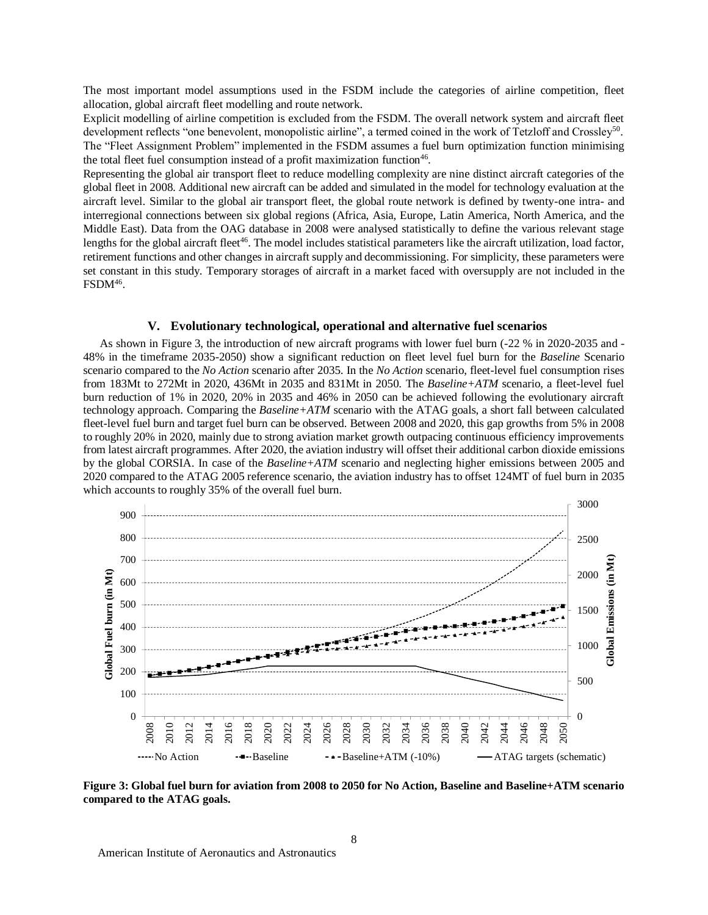The most important model assumptions used in the FSDM include the categories of airline competition, fleet allocation, global aircraft fleet modelling and route network.

Explicit modelling of airline competition is excluded from the FSDM. The overall network system and aircraft fleet development reflects "one benevolent, monopolistic airline", a termed coined in the work of Tetzloff and Crossley<sup>50</sup>. The "Fleet Assignment Problem" implemented in the FSDM assumes a fuel burn optimization function minimising the total fleet fuel consumption instead of a profit maximization function<sup>46</sup>.

Representing the global air transport fleet to reduce modelling complexity are nine distinct aircraft categories of the global fleet in 2008. Additional new aircraft can be added and simulated in the model for technology evaluation at the aircraft level. Similar to the global air transport fleet, the global route network is defined by twenty-one intra- and interregional connections between six global regions (Africa, Asia, Europe, Latin America, North America, and the Middle East). Data from the OAG database in 2008 were analysed statistically to define the various relevant stage lengths for the global aircraft fleet<sup>46</sup>. The model includes statistical parameters like the aircraft utilization, load factor, retirement functions and other changes in aircraft supply and decommissioning. For simplicity, these parameters were set constant in this study. Temporary storages of aircraft in a market faced with oversupply are not included in the  $FSDM<sup>46</sup>$ .

# **V. Evolutionary technological, operational and alternative fuel scenarios**

As shown in Figure 3, the introduction of new aircraft programs with lower fuel burn (-22 % in 2020-2035 and - 48% in the timeframe 2035-2050) show a significant reduction on fleet level fuel burn for the *Baseline* Scenario scenario compared to the *No Action* scenario after 2035. In the *No Action* scenario, fleet-level fuel consumption rises from 183Mt to 272Mt in 2020, 436Mt in 2035 and 831Mt in 2050. The *Baseline+ATM* scenario, a fleet-level fuel burn reduction of 1% in 2020, 20% in 2035 and 46% in 2050 can be achieved following the evolutionary aircraft technology approach. Comparing the *Baseline+ATM* scenario with the ATAG goals, a short fall between calculated fleet-level fuel burn and target fuel burn can be observed. Between 2008 and 2020, this gap growths from 5% in 2008 to roughly 20% in 2020, mainly due to strong aviation market growth outpacing continuous efficiency improvements from latest aircraft programmes. After 2020, the aviation industry will offset their additional carbon dioxide emissions by the global CORSIA. In case of the *Baseline+ATM* scenario and neglecting higher emissions between 2005 and 2020 compared to the ATAG 2005 reference scenario, the aviation industry has to offset 124MT of fuel burn in 2035 which accounts to roughly 35% of the overall fuel burn.



**Figure 3: Global fuel burn for aviation from 2008 to 2050 for No Action, Baseline and Baseline+ATM scenario compared to the ATAG goals.**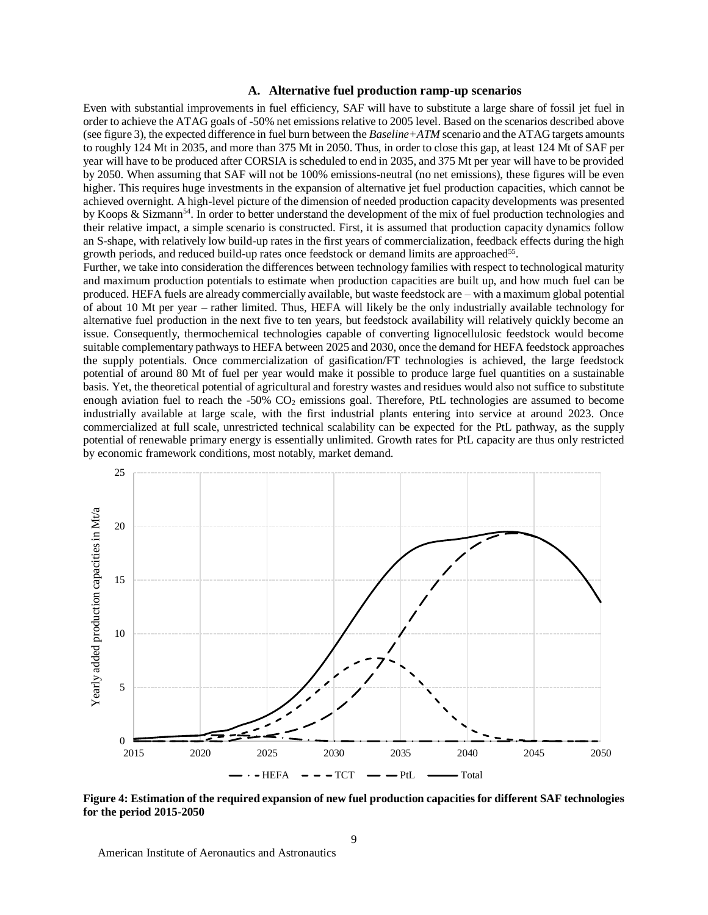# **A. Alternative fuel production ramp-up scenarios**

Even with substantial improvements in fuel efficiency, SAF will have to substitute a large share of fossil jet fuel in order to achieve the ATAG goals of -50% net emissionsrelative to 2005 level. Based on the scenarios described above (see figure 3), the expected difference in fuel burn between the *Baseline+ATM* scenario and the ATAG targets amounts to roughly 124 Mt in 2035, and more than 375 Mt in 2050. Thus, in order to close this gap, at least 124 Mt of SAF per year will have to be produced after CORSIA is scheduled to end in 2035, and 375 Mt per year will have to be provided by 2050. When assuming that SAF will not be 100% emissions-neutral (no net emissions), these figures will be even higher. This requires huge investments in the expansion of alternative jet fuel production capacities, which cannot be achieved overnight. A high-level picture of the dimension of needed production capacity developments was presented by Koops & Sizmann<sup>54</sup>. In order to better understand the development of the mix of fuel production technologies and their relative impact, a simple scenario is constructed. First, it is assumed that production capacity dynamics follow an S-shape, with relatively low build-up rates in the first years of commercialization, feedback effects during the high growth periods, and reduced build-up rates once feedstock or demand limits are approached<sup>55</sup>.

Further, we take into consideration the differences between technology families with respect to technological maturity and maximum production potentials to estimate when production capacities are built up, and how much fuel can be produced. HEFA fuels are already commercially available, but waste feedstock are – with a maximum global potential of about 10 Mt per year – rather limited. Thus, HEFA will likely be the only industrially available technology for alternative fuel production in the next five to ten years, but feedstock availability will relatively quickly become an issue. Consequently, thermochemical technologies capable of converting lignocellulosic feedstock would become suitable complementary pathways to HEFA between 2025 and 2030, once the demand for HEFA feedstock approaches the supply potentials. Once commercialization of gasification/FT technologies is achieved, the large feedstock potential of around 80 Mt of fuel per year would make it possible to produce large fuel quantities on a sustainable basis. Yet, the theoretical potential of agricultural and forestry wastes and residues would also not suffice to substitute enough aviation fuel to reach the  $-50\%$  CO<sub>2</sub> emissions goal. Therefore, PtL technologies are assumed to become industrially available at large scale, with the first industrial plants entering into service at around 2023. Once commercialized at full scale, unrestricted technical scalability can be expected for the PtL pathway, as the supply potential of renewable primary energy is essentially unlimited. Growth rates for PtL capacity are thus only restricted by economic framework conditions, most notably, market demand.



**Figure 4: Estimation of the required expansion of new fuel production capacitiesfor different SAF technologies for the period 2015-2050**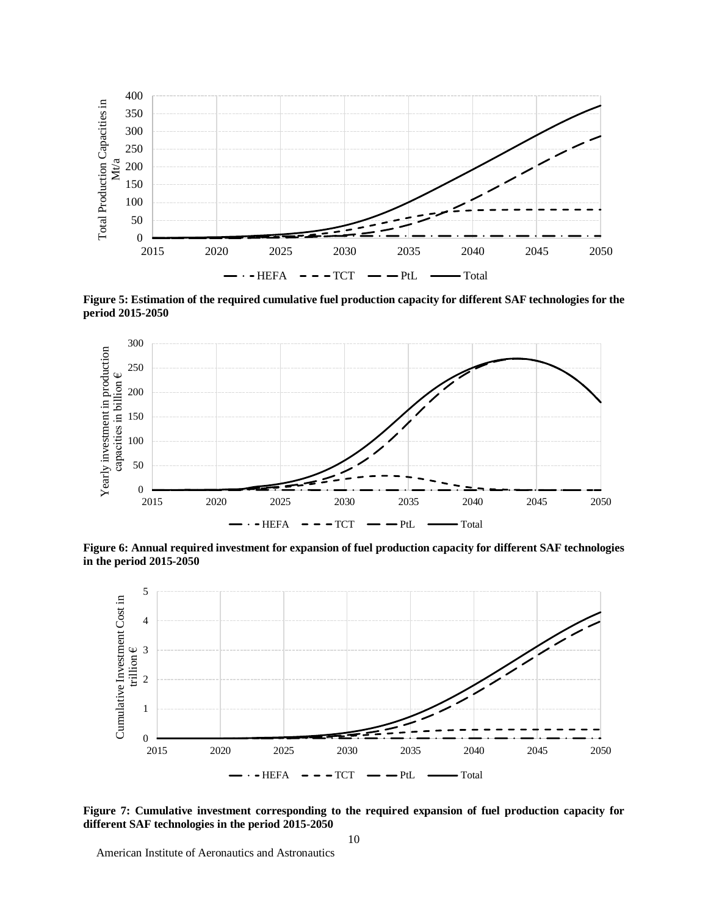

**Figure 5: Estimation of the required cumulative fuel production capacity for different SAF technologies for the period 2015-2050**



**Figure 6: Annual required investment for expansion of fuel production capacity for different SAF technologies in the period 2015-2050**



**Figure 7: Cumulative investment corresponding to the required expansion of fuel production capacity for different SAF technologies in the period 2015-2050**

American Institute of Aeronautics and Astronautics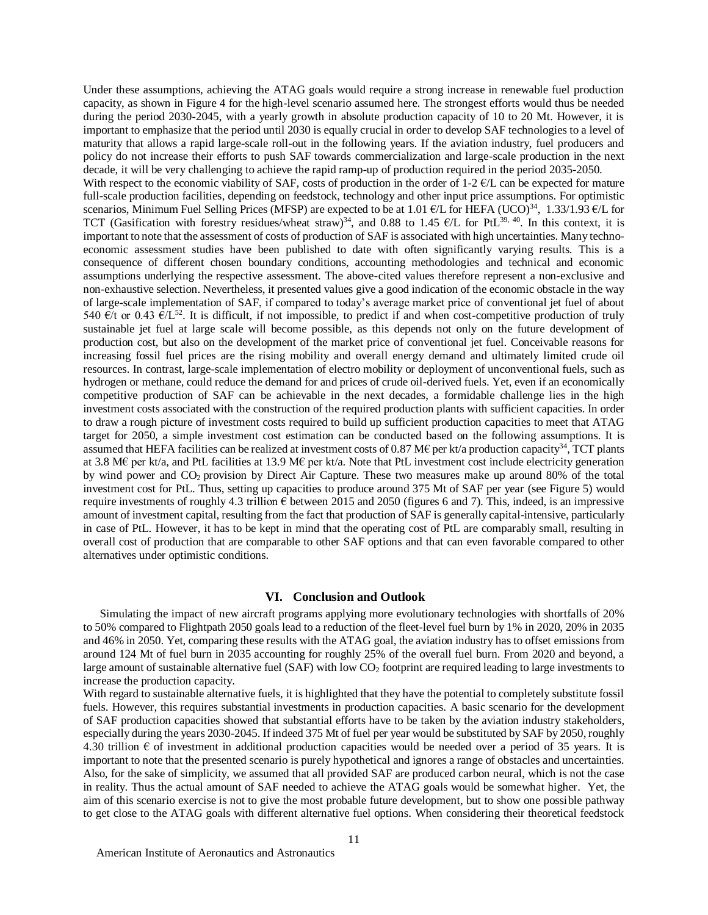Under these assumptions, achieving the ATAG goals would require a strong increase in renewable fuel production capacity, as shown in Figure 4 for the high-level scenario assumed here. The strongest efforts would thus be needed during the period 2030-2045, with a yearly growth in absolute production capacity of 10 to 20 Mt. However, it is important to emphasize that the period until 2030 is equally crucial in order to develop SAF technologies to a level of maturity that allows a rapid large-scale roll-out in the following years. If the aviation industry, fuel producers and policy do not increase their efforts to push SAF towards commercialization and large-scale production in the next decade, it will be very challenging to achieve the rapid ramp-up of production required in the period 2035-2050.

With respect to the economic viability of SAF, costs of production in the order of  $1-2 \epsilon/L$  can be expected for mature full-scale production facilities, depending on feedstock, technology and other input price assumptions. For optimistic scenarios, Minimum Fuel Selling Prices (MFSP) are expected to be at 1.01  $\epsilon/L$  for HEFA (UCO)<sup>34</sup>, 1.33/1.93  $\epsilon/L$  for TCT (Gasification with forestry residues/wheat straw)<sup>34</sup>, and 0.88 to 1.45  $\epsilon$ /L for PtL<sup>39, 40</sup>. In this context, it is important to note that the assessment of costs of production of SAF is associated with high uncertainties. Many technoeconomic assessment studies have been published to date with often significantly varying results. This is a consequence of different chosen boundary conditions, accounting methodologies and technical and economic assumptions underlying the respective assessment. The above-cited values therefore represent a non-exclusive and non-exhaustive selection. Nevertheless, it presented values give a good indication of the economic obstacle in the way of large-scale implementation of SAF, if compared to today's average market price of conventional jet fuel of about 540  $\epsilon$ /t or 0.43  $\epsilon$ /L<sup>52</sup>. It is difficult, if not impossible, to predict if and when cost-competitive production of truly sustainable jet fuel at large scale will become possible, as this depends not only on the future development of production cost, but also on the development of the market price of conventional jet fuel. Conceivable reasons for increasing fossil fuel prices are the rising mobility and overall energy demand and ultimately limited crude oil resources. In contrast, large-scale implementation of electro mobility or deployment of unconventional fuels, such as hydrogen or methane, could reduce the demand for and prices of crude oil-derived fuels. Yet, even if an economically competitive production of SAF can be achievable in the next decades, a formidable challenge lies in the high investment costs associated with the construction of the required production plants with sufficient capacities. In order to draw a rough picture of investment costs required to build up sufficient production capacities to meet that ATAG target for 2050, a simple investment cost estimation can be conducted based on the following assumptions. It is assumed that HEFA facilities can be realized at investment costs of 0.87 M€ per kt/a production capacity<sup>34</sup>, TCT plants at 3.8 M€ per kt/a, and PtL facilities at 13.9 M€ per kt/a. Note that PtL investment cost include electricity generation by wind power and CO2 provision by Direct Air Capture. These two measures make up around 80% of the total investment cost for PtL. Thus, setting up capacities to produce around 375 Mt of SAF per year (see Figure 5) would require investments of roughly 4.3 trillion  $\epsilon$  between 2015 and 2050 (figures 6 and 7). This, indeed, is an impressive amount of investment capital, resulting from the fact that production of SAF is generally capital-intensive, particularly in case of PtL. However, it has to be kept in mind that the operating cost of PtL are comparably small, resulting in overall cost of production that are comparable to other SAF options and that can even favorable compared to other alternatives under optimistic conditions.

# **VI. Conclusion and Outlook**

Simulating the impact of new aircraft programs applying more evolutionary technologies with shortfalls of 20% to 50% compared to Flightpath 2050 goals lead to a reduction of the fleet-level fuel burn by 1% in 2020, 20% in 2035 and 46% in 2050. Yet, comparing these results with the ATAG goal, the aviation industry has to offset emissions from around 124 Mt of fuel burn in 2035 accounting for roughly 25% of the overall fuel burn. From 2020 and beyond, a large amount of sustainable alternative fuel (SAF) with low  $CO<sub>2</sub>$  footprint are required leading to large investments to increase the production capacity.

With regard to sustainable alternative fuels, it is highlighted that they have the potential to completely substitute fossil fuels. However, this requires substantial investments in production capacities. A basic scenario for the development of SAF production capacities showed that substantial efforts have to be taken by the aviation industry stakeholders, especially during the years 2030-2045. If indeed 375 Mt of fuel per year would be substituted by SAF by 2050, roughly 4.30 trillion  $\epsilon$  of investment in additional production capacities would be needed over a period of 35 years. It is important to note that the presented scenario is purely hypothetical and ignores a range of obstacles and uncertainties. Also, for the sake of simplicity, we assumed that all provided SAF are produced carbon neural, which is not the case in reality. Thus the actual amount of SAF needed to achieve the ATAG goals would be somewhat higher. Yet, the aim of this scenario exercise is not to give the most probable future development, but to show one possible pathway to get close to the ATAG goals with different alternative fuel options. When considering their theoretical feedstock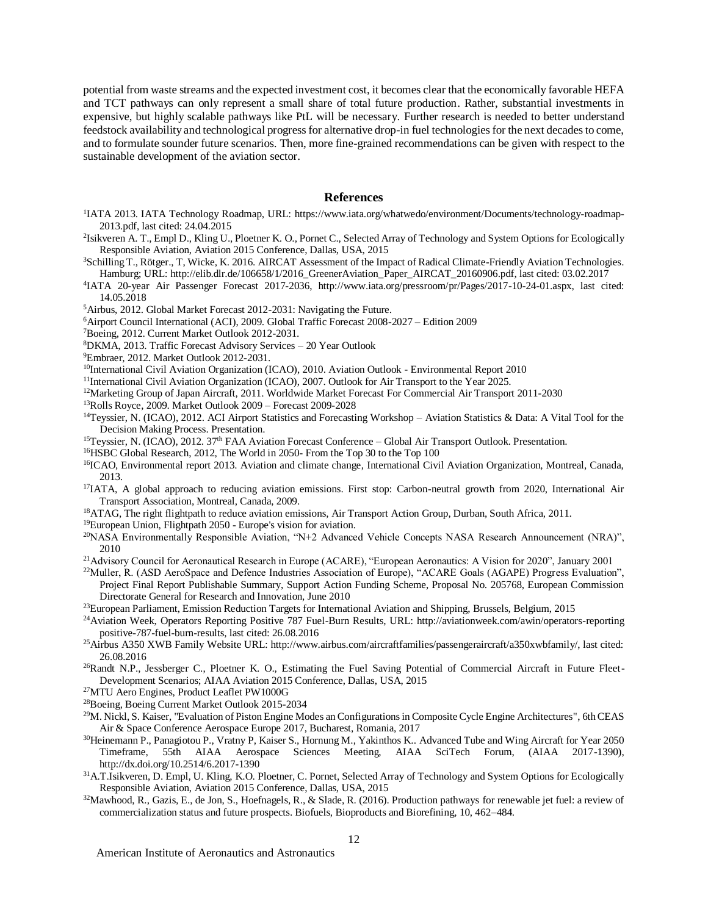potential from waste streams and the expected investment cost, it becomes clear that the economically favorable HEFA and TCT pathways can only represent a small share of total future production. Rather, substantial investments in expensive, but highly scalable pathways like PtL will be necessary. Further research is needed to better understand feedstock availability and technological progress for alternative drop-in fuel technologies for the next decades to come, and to formulate sounder future scenarios. Then, more fine-grained recommendations can be given with respect to the sustainable development of the aviation sector.

#### **References**

- 1 IATA 2013. IATA Technology Roadmap, URL: [https://www.iata.org/whatwedo/environment/Documents/technology-roadmap-](https://vpn.bauhaus-luftfahrt.net/proxy/https/www.iata.org/whatwedo/environment/Documents/technology-roadmap-2013.pdf)[2013.pdf,](https://vpn.bauhaus-luftfahrt.net/proxy/https/www.iata.org/whatwedo/environment/Documents/technology-roadmap-2013.pdf) last cited: 24.04.2015
- 2 Isikveren A. T., Empl D., Kling U., Ploetner K. O., Pornet C., Selected Array of Technology and System Options for Ecologically Responsible Aviation, Aviation 2015 Conference, Dallas, USA, 2015
- <sup>3</sup>Schilling T., Rötger., T, Wicke, K. 2016. AIRCAT Assessment of the Impact of Radical Climate-Friendly Aviation Technologies. Hamburg; URL: http://elib.dlr.de/106658/1/2016\_GreenerAviation\_Paper\_AIRCAT\_20160906.pdf, last cited: 03.02.2017
- 4 IATA 20-year Air Passenger Forecast 2017-2036, [http://www.iata.org/pressroom/pr/Pages/2017-10-24-01.aspx,](http://www.iata.org/pressroom/pr/Pages/2017-10-24-01.aspx) last cited: 14.05.2018
- <sup>5</sup>Airbus, 2012. Global Market Forecast 2012-2031: Navigating the Future.
- <sup>6</sup>Airport Council International (ACI), 2009. Global Traffic Forecast 2008-2027 Edition 2009
- <sup>7</sup>Boeing, 2012. Current Market Outlook 2012-2031.
- <sup>8</sup>DKMA, 2013. Traffic Forecast Advisory Services 20 Year Outlook
- <sup>9</sup>Embraer, 2012. Market Outlook 2012-2031.
- <sup>10</sup>International Civil Aviation Organization (ICAO), 2010. Aviation Outlook Environmental Report 2010
- <sup>11</sup>International Civil Aviation Organization (ICAO), 2007. Outlook for Air Transport to the Year 2025.
- <sup>12</sup>Marketing Group of Japan Aircraft, 2011. Worldwide Market Forecast For Commercial Air Transport 2011-2030 <sup>13</sup>Rolls Royce, 2009. Market Outlook 2009 – Forecast 2009-2028
- <sup>14</sup>Teyssier, N. (ICAO), 2012. ACI Airport Statistics and Forecasting Workshop Aviation Statistics & Data: A Vital Tool for the Decision Making Process. Presentation.
- <sup>15</sup>Teyssier, N. (ICAO), 2012. 37<sup>th</sup> FAA Aviation Forecast Conference Global Air Transport Outlook. Presentation.
- <sup>16</sup>HSBC Global Research, 2012, The World in 2050- From the Top 30 to the Top 100
- 16 ICAO, Environmental report 2013. Aviation and climate change, International Civil Aviation Organization, Montreal, Canada, 2013.
- <sup>17</sup>IATA, A global approach to reducing aviation emissions. First stop: Carbon-neutral growth from 2020, International Air Transport Association, Montreal, Canada, 2009.
- <sup>18</sup>ATAG, The right flightpath to reduce aviation emissions, Air Transport Action Group, Durban, South Africa, 2011.
- <sup>19</sup>European Union, Flightpath 2050 Europe's vision for aviation.
- <sup>20</sup>NASA Environmentally Responsible Aviation, "N+2 Advanced Vehicle Concepts NASA Research Announcement (NRA)", 2010
- <sup>21</sup> Advisory Council for Aeronautical Research in Europe (ACARE), "European Aeronautics: A Vision for 2020", January 2001
- <sup>22</sup>Muller, R. (ASD AeroSpace and Defence Industries Association of Europe), "ACARE Goals (AGAPE) Progress Evaluation", Project Final Report Publishable Summary, Support Action Funding Scheme, Proposal No. 205768, European Commission Directorate General for Research and Innovation, June 2010
- <sup>23</sup>European Parliament, Emission Reduction Targets for International Aviation and Shipping, Brussels, Belgium, 2015
- <sup>24</sup>Aviation Week, Operators Reporting Positive 787 Fuel-Burn Results, URL: http://aviationweek.com/awin/operators-reporting positive-787-fuel-burn-results, last cited: 26.08.2016
- <sup>25</sup>Airbus A350 XWB Family Website URL: http://www.airbus.com/aircraftfamilies/passengeraircraft/a350xwbfamily/, last cited: 26.08.2016
- $^{26}$ Randt N.P., Jessberger C., Ploetner K. O., Estimating the Fuel Saving Potential of Commercial Aircraft in Future Fleet-Development Scenarios; AIAA Aviation 2015 Conference, Dallas, USA, 2015

<sup>27</sup>MTU Aero Engines, Product Leaflet PW1000G

- <sup>28</sup>Boeing, Boeing Current Market Outlook 2015-2034
- <sup>29</sup>M. Nickl, S. Kaiser, "Evaluation of Piston Engine Modes an Configurations in Composite Cycle Engine Architectures", 6th CEAS Air & Space Conference Aerospace Europe 2017, Bucharest, Romania, 2017
- <sup>30</sup>Heinemann P., Panagiotou P., Vratny P, Kaiser S., Hornung M., Yakinthos K.. Advanced Tube and Wing Aircraft for Year 2050 Timeframe, 55th AIAA Aerospace Sciences Meeting, AIAA SciTech Forum, (AIAA 2017-1390), <http://dx.doi.org/10.2514/6.2017-1390>
- <sup>31</sup>A.T.Isikveren, D. Empl, U. Kling, K.O. Ploetner, C. Pornet, Selected Array of Technology and System Options for Ecologically Responsible Aviation, Aviation 2015 Conference, Dallas, USA, 2015
- <sup>32</sup>Mawhood, R., Gazis, E., de Jon, S., Hoefnagels, R., & Slade, R. (2016). Production pathways for renewable jet fuel: a review of commercialization status and future prospects. Biofuels, Bioproducts and Biorefining, 10, 462–484.